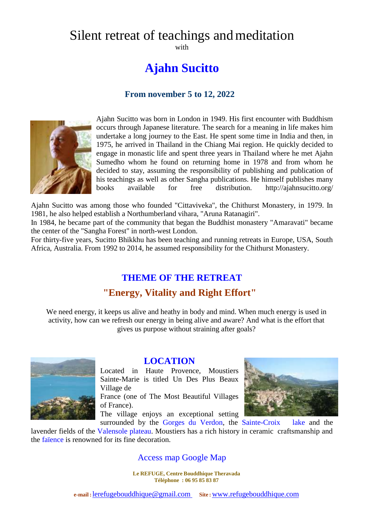# Silent retreat of teachings and meditation

with

# **Ajahn Sucitto**

#### **From november 5 to 12, 2022**



Ajahn Sucitto was born in London in 1949. His first encounter with Buddhism occurs through Japanese literature. The search for a meaning in life makes him undertake a long journey to the East. He spent some time in India and then, in 1975, he arrived in Thailand in the Chiang Mai region. He quickly decided to engage in monastic life and spent three years in Thailand where he met Ajahn Sumedho whom he found on returning home in 1978 and from whom he decided to stay, assuming the responsibility of publishing and publication of his teachings as well as other Sangha publications. He himself publishes many books available for free distribution. http://ajahnsucitto.org/

Ajahn Sucitto was among those who founded "Cittaviveka", the Chithurst Monastery, in 1979. In 1981, he also helped establish a Northumberland vihara, "Aruna Ratanagiri".

In 1984, he became part of the community that began the Buddhist monastery "Amaravati" became the center of the "Sangha Forest" in north-west London.

For thirty-five years, Sucitto Bhikkhu has been teaching and running retreats in Europe, USA, South Africa, Australia. From 1992 to 2014, he assumed responsibility for the Chithurst Monastery.

# **THEME OF THE RETREAT**

### **"Energy, Vitality and Right Effort"**

We need energy, it keeps us alive and heathy in body and mind. When much energy is used in activity, how can we refresh our energy in being alive and aware? And what is the effort that gives us purpose without straining after goals?



#### **LOCATION**

Located in Haute Provence, Moustiers Sainte-Marie is titled Un Des Plus Beaux Village de

France (one of The Most Beautiful Villages of France).

The village enjoys an exceptional setting



surrounded by the Gorges du Verdon, the Sainte-Croix lake and the lavender fields of the Valensole plateau. Moustiers has a rich history in ceramic craftsmanship and the faïence is renowned for its fine decoration.

#### Access map Google Map

**Le REFUGE, Centre Bouddhique Theravada Téléphone : 06 95 85 83 87**

**e-mail :**[lerefugebouddhique@gmail.com](mailto:lerefugebouddhique@gmail.com) **Site :**[www.refugebouddhique.com](http://www.refugebouddhique.com/)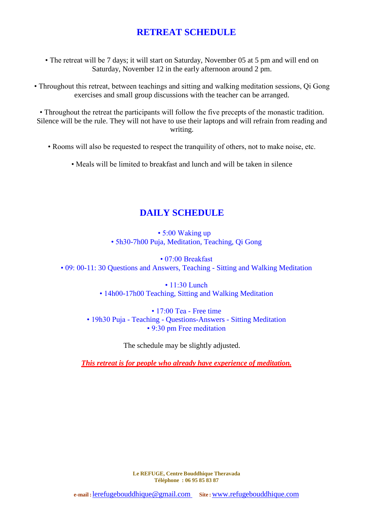### **RETREAT SCHEDULE**

• The retreat will be 7 days; it will start on Saturday, November 05 at 5 pm and will end on Saturday, November 12 in the early afternoon around 2 pm.

• Throughout this retreat, between teachings and sitting and walking meditation sessions, Qi Gong exercises and small group discussions with the teacher can be arranged.

• Throughout the retreat the participants will follow the five precepts of the monastic tradition. Silence will be the rule. They will not have to use their laptops and will refrain from reading and writing.

- Rooms will also be requested to respect the tranquility of others, not to make noise, etc.
	- Meals will be limited to breakfast and lunch and will be taken in silence

### **DAILY SCHEDULE**

• 5:00 Waking up • 5h30-7h00 Puja, Meditation, Teaching, Qi Gong

• 07:00 Breakfast • 09: 00-11: 30 Questions and Answers, Teaching - Sitting and Walking Meditation

> • 11:30 Lunch • 14h00-17h00 Teaching, Sitting and Walking Meditation

• 17:00 Tea - Free time • 19h30 Puja - Teaching - Ouestions-Answers - Sitting Meditation • 9:30 pm Free meditation

The schedule may be slightly adjusted.

*This retreat is for people who already have experience of meditation.*

**Le REFUGE, Centre Bouddhique Theravada Téléphone : 06 95 85 83 87**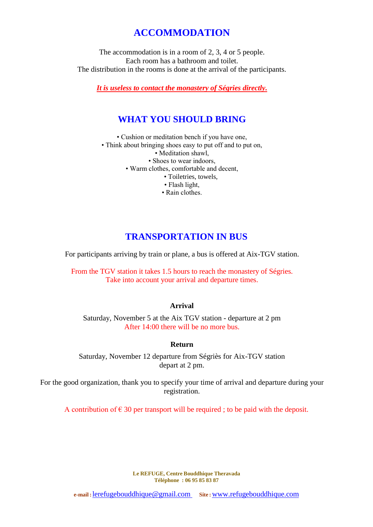# **ACCOMMODATION**

The accommodation is in a room of 2, 3, 4 or 5 people. Each room has a bathroom and toilet. The distribution in the rooms is done at the arrival of the participants.

*It is useless to contact the monastery of Ségries directly.*

## **WHAT YOU SHOULD BRING**

• Cushion or meditation bench if you have one,

• Think about bringing shoes easy to put off and to put on,

• Meditation shawl,

• Shoes to wear indoors,

• Warm clothes, comfortable and decent,

- Toiletries, towels,
- Flash light,
- Rain clothes.

## **TRANSPORTATION IN BUS**

For participants arriving by train or plane, a bus is offered at Aix-TGV station.

From the TGV station it takes 1.5 hours to reach the monastery of Ségries. Take into account your arrival and departure times.

#### **Arrival**

Saturday, November 5 at the Aix TGV station - departure at 2 pm After 14:00 there will be no more bus.

#### **Return**

Saturday, November 12 departure from Ségriès for Aix-TGV station depart at 2 pm.

For the good organization, thank you to specify your time of arrival and departure during your registration.

A contribution of  $\epsilon$  30 per transport will be required; to be paid with the deposit.

**Le REFUGE, Centre Bouddhique Theravada Téléphone : 06 95 85 83 87**